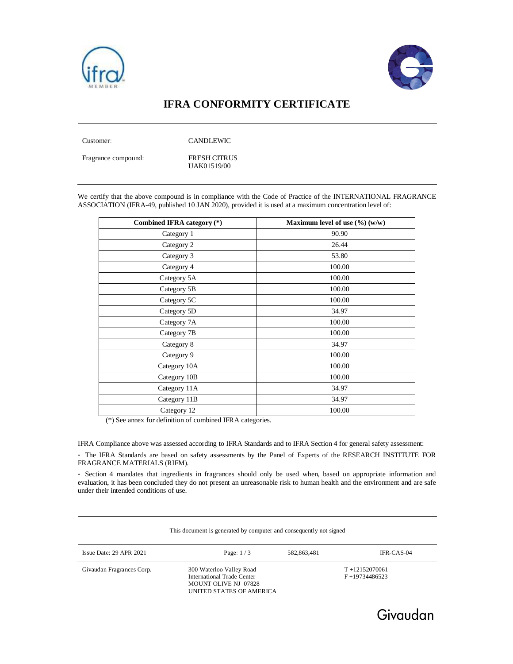



## **IFRA CONFORMITY CERTIFICATE**

Customer: CANDLEWIC

Fragrance compound: FRESH CITRUS

UAK01519/00

We certify that the above compound is in compliance with the Code of Practice of the INTERNATIONAL FRAGRANCE ASSOCIATION (IFRA-49, published 10 JAN 2020), provided it is used at a maximum concentration level of:

| Combined IFRA category (*) | Maximum level of use (%) (w/w) |
|----------------------------|--------------------------------|
| Category 1                 | 90.90                          |
| Category 2                 | 26.44                          |
| Category 3                 | 53.80                          |
| Category 4                 | 100.00                         |
| Category 5A                | 100.00                         |
| Category 5B                | 100.00                         |
| Category 5C                | 100.00                         |
| Category 5D                | 34.97                          |
| Category 7A                | 100.00                         |
| Category 7B                | 100.00                         |
| Category 8                 | 34.97                          |
| Category 9                 | 100.00                         |
| Category 10A               | 100.00                         |
| Category 10B               | 100.00                         |
| Category 11A               | 34.97                          |
| Category 11B               | 34.97                          |
| Category 12                | 100.00                         |

(\*) See annex for definition of combined IFRA categories.

IFRA Compliance above was assessed according to IFRA Standards and to IFRA Section 4 for general safety assessment:

- The IFRA Standards are based on safety assessments by the Panel of Experts of the RESEARCH INSTITUTE FOR FRAGRANCE MATERIALS (RIFM).

- Section 4 mandates that ingredients in fragrances should only be used when, based on appropriate information and evaluation, it has been concluded they do not present an unreasonable risk to human health and the environment and are safe under their intended conditions of use.

|                           | This document is generated by computer and consequently not signed                                         |             |                                        |
|---------------------------|------------------------------------------------------------------------------------------------------------|-------------|----------------------------------------|
| Issue Date: 29 APR 2021   | Page: $1/3$                                                                                                | 582,863,481 | IFR-CAS-04                             |
| Givaudan Fragrances Corp. | 300 Waterloo Valley Road<br>International Trade Center<br>MOUNT OLIVE NJ 07828<br>UNITED STATES OF AMERICA |             | $T + 12152070061$<br>$F + 19734486523$ |

This document is generated by computer and computer and consequently not signed by consequently not signed and

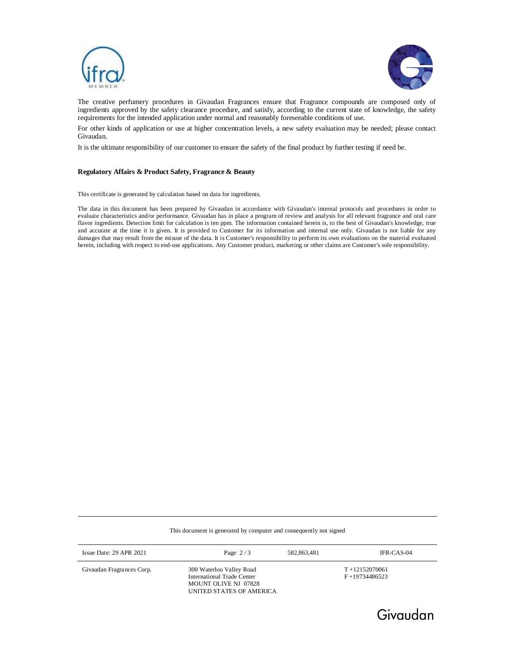



Givaudan

The creative perfumery procedures in Givaudan Fragrances ensure that Fragrance compounds are composed only of ingredients approved by the safety clearance procedure, and satisfy, according to the current state of knowledge, the safety requirements for the intended application under normal and reasonably foreseeable conditions of use.

For other kinds of application or use at higher concentration levels, a new safety evaluation may be needed; please contact Givaudan.

It is the ultimate responsibility of our customer to ensure the safety of the final product by further testing if need be.

## **Regulatory Affairs & Product Safety, Fragrance & Beauty**

This certificate is generated by calculation based on data for ingredients.

The data in this document has been prepared by Givaudan in accordance with Givaudan's internal protocols and procedures in order to evaluate characteristics and/or performance. Givaudan has in place a program of review and analysis for all relevant fragrance and oral care flavor ingredients. Detection limit for calculation is ten ppm. The information contained herein is, to the best of Givaudan's knowledge, true and accurate at the time it is given. It is provided to Customer for its information and internal use only. Givaudan is not liable for any damages that may result from the misuse of the data. It is Customer's responsibility to perform its own evaluations on the material evaluated herein, including with respect to end-use applications. Any Customer product, marketing or other claims are Customer's sole responsibility.

| This document is generated by computer and consequently not signed |                                                                                                                   |             |                                        |  |  |
|--------------------------------------------------------------------|-------------------------------------------------------------------------------------------------------------------|-------------|----------------------------------------|--|--|
| Issue Date: $29$ APR $2021$                                        | Page: $2/3$                                                                                                       | 582,863,481 | IFR-CAS-04                             |  |  |
| Givaudan Fragrances Corp.                                          | 300 Waterloo Valley Road<br>International Trade Center<br><b>MOUNT OLIVE NJ 07828</b><br>UNITED STATES OF AMERICA |             | $T + 12152070061$<br>$F + 19734486523$ |  |  |